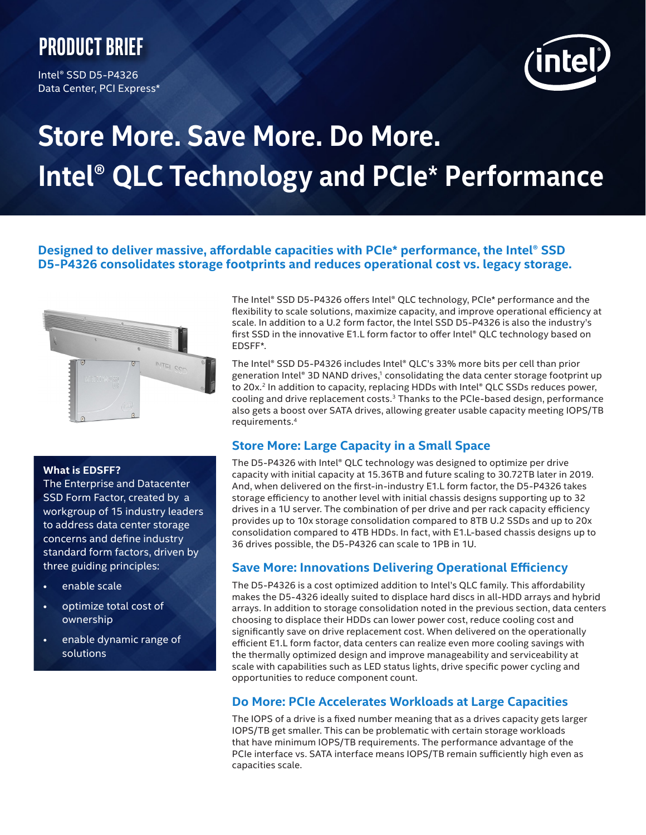## **Product brief**

Intel® SSD D5-P4326 Data Center, PCI Express\*



# **Store More. Save More. Do More. Intel® QLC Technology and PCIe**\* **Performance**

### **Designed to deliver massive, affordable capacities with PCIe\* performance, the Intel® SSD D5-P4326 consolidates storage footprints and reduces operational cost vs. legacy storage.**



#### **What is EDSFF?**

The Enterprise and Datacenter SSD Form Factor, created by a workgroup of 15 industry leaders to address data center storage concerns and define industry standard form factors, driven by three guiding principles:

- enable scale
- optimize total cost of ownership
- enable dynamic range of solutions

The Intel® SSD D5-P4326 offers Intel® QLC technology, PCIe\* performance and the flexibility to scale solutions, maximize capacity, and improve operational efficiency at scale. In addition to a U.2 form factor, the Intel SSD D5-P4326 is also the industry's first SSD in the innovative E1.L form factor to offer Intel® QLC technology based on EDSFF\*.

The Intel® SSD D5-P4326 includes Intel® QLC's 33% more bits per cell than prior generation Intel® 3D NAND drives, $1$  consolidating the data center storage footprint up to 20x.<sup>2</sup> In addition to capacity, replacing HDDs with Intel® QLC SSDs reduces power, cooling and drive replacement costs. $3$  Thanks to the PCIe-based design, performance also gets a boost over SATA drives, allowing greater usable capacity meeting IOPS/TB requirements.4

### **Store More: Large Capacity in a Small Space**

The D5-P4326 with Intel® QLC technology was designed to optimize per drive capacity with initial capacity at 15.36TB and future scaling to 30.72TB later in 2019. And, when delivered on the first-in-industry E1.L form factor, the D5-P4326 takes storage efficiency to another level with initial chassis designs supporting up to 32 drives in a 1U server. The combination of per drive and per rack capacity efficiency provides up to 10x storage consolidation compared to 8TB U.2 SSDs and up to 20x consolidation compared to 4TB HDDs. In fact, with E1.L-based chassis designs up to 36 drives possible, the D5-P4326 can scale to 1PB in 1U.

### **Save More: Innovations Delivering Operational Efficiency**

The D5-P4326 is a cost optimized addition to Intel's QLC family. This affordability makes the D5-4326 ideally suited to displace hard discs in all-HDD arrays and hybrid arrays. In addition to storage consolidation noted in the previous section, data centers choosing to displace their HDDs can lower power cost, reduce cooling cost and significantly save on drive replacement cost. When delivered on the operationally efficient E1.L form factor, data centers can realize even more cooling savings with the thermally optimized design and improve manageability and serviceability at scale with capabilities such as LED status lights, drive specific power cycling and opportunities to reduce component count.

### **Do More: PCIe Accelerates Workloads at Large Capacities**

The IOPS of a drive is a fixed number meaning that as a drives capacity gets larger IOPS/TB get smaller. This can be problematic with certain storage workloads that have minimum IOPS/TB requirements. The performance advantage of the PCIe interface vs. SATA interface means IOPS/TB remain sufficiently high even as capacities scale.